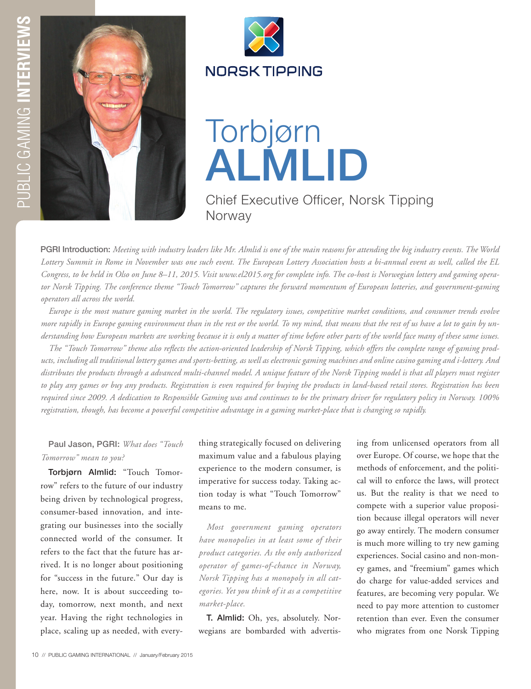



## Torbjørn ALMLID

Chief Executive Officer, Norsk Tipping Norway

PGRI Introduction: *Meeting with industry leaders like Mr. Almlid is one of the main reasons for attending the big industry events. The World Lottery Summit in Rome in November was one such event. The European Lottery Association hosts a bi-annual event as well, called the EL Congress, to be held in Olso on June 8–11, 2015. Visit www.el2015.org for complete info. The co-host is Norwegian lottery and gaming operator Norsk Tipping. The conference theme "Touch Tomorrow" captures the forward momentum of European lotteries, and government-gaming operators all across the world.* 

*Europe is the most mature gaming market in the world. The regulatory issues, competitive market conditions, and consumer trends evolve more rapidly in Europe gaming environment than in the rest or the world. To my mind, that means that the rest of us have a lot to gain by understanding how European markets are working because it is only a matter of time before other parts of the world face many of these same issues.* 

*The "Touch Tomorrow" theme also reflects the action-oriented leadership of Norsk Tipping, which offers the complete range of gaming products, including all traditional lottery games and sports-betting, as well as electronic gaming machines and online casino gaming and i-lottery. And distributes the products through a advanced multi-channel model. A unique feature of the Norsk Tipping model is that all players must register to play any games or buy any products. Registration is even required for buying the products in land-based retail stores. Registration has been required since 2009. A dedication to Responsible Gaming was and continues to be the primary driver for regulatory policy in Norway. 100% registration, though, has become a powerful competitive advantage in a gaming market-place that is changing so rapidly.* 

Paul Jason, PGRI: *What does "Touch Tomorrow" mean to you?*

Torbjørn Almlid: "Touch Tomorrow" refers to the future of our industry being driven by technological progress, consumer-based innovation, and integrating our businesses into the socially connected world of the consumer. It refers to the fact that the future has arrived. It is no longer about positioning for "success in the future." Our day is here, now. It is about succeeding today, tomorrow, next month, and next year. Having the right technologies in place, scaling up as needed, with everything strategically focused on delivering maximum value and a fabulous playing experience to the modern consumer, is imperative for success today. Taking action today is what "Touch Tomorrow" means to me.

*Most government gaming operators have monopolies in at least some of their product categories. As the only authorized operator of games-of-chance in Norway, Norsk Tipping has a monopoly in all categories. Yet you think of it as a competitive market-place.*

T. Almlid: Oh, yes, absolutely. Norwegians are bombarded with advertising from unlicensed operators from all over Europe. Of course, we hope that the methods of enforcement, and the political will to enforce the laws, will protect us. But the reality is that we need to compete with a superior value proposition because illegal operators will never go away entirely. The modern consumer is much more willing to try new gaming experiences. Social casino and non-money games, and "freemium" games which do charge for value-added services and features, are becoming very popular. We need to pay more attention to customer retention than ever. Even the consumer who migrates from one Norsk Tipping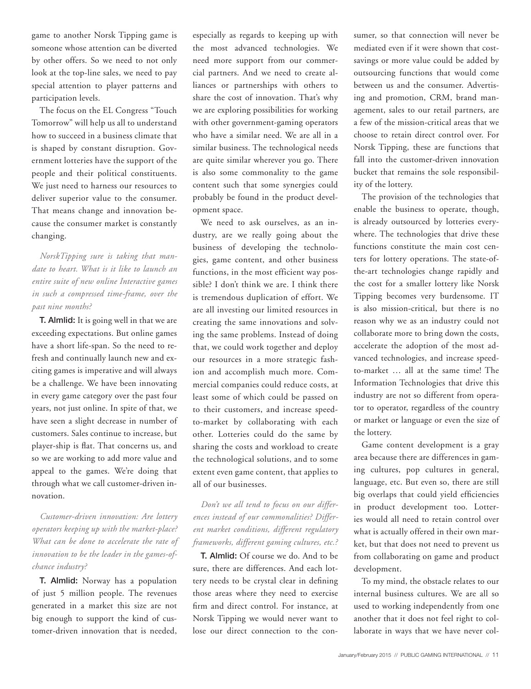game to another Norsk Tipping game is someone whose attention can be diverted by other offers. So we need to not only look at the top-line sales, we need to pay special attention to player patterns and participation levels.

The focus on the EL Congress "Touch Tomorrow" will help us all to understand how to succeed in a business climate that is shaped by constant disruption. Government lotteries have the support of the people and their political constituents. We just need to harness our resources to deliver superior value to the consumer. That means change and innovation because the consumer market is constantly changing.

*NorskTipping sure is taking that mandate to heart. What is it like to launch an entire suite of new online Interactive games in such a compressed time-frame, over the past nine months?* 

T. Almlid: It is going well in that we are exceeding expectations. But online games have a short life-span. So the need to refresh and continually launch new and exciting games is imperative and will always be a challenge. We have been innovating in every game category over the past four years, not just online. In spite of that, we have seen a slight decrease in number of customers. Sales continue to increase, but player-ship is flat. That concerns us, and so we are working to add more value and appeal to the games. We're doing that through what we call customer-driven innovation.

*Customer-driven innovation: Are lottery operators keeping up with the market-place? What can be done to accelerate the rate of innovation to be the leader in the games-ofchance industry?* 

T. Almlid: Norway has a population of just 5 million people. The revenues generated in a market this size are not big enough to support the kind of customer-driven innovation that is needed,

especially as regards to keeping up with the most advanced technologies. We need more support from our commercial partners. And we need to create alliances or partnerships with others to share the cost of innovation. That's why we are exploring possibilities for working with other government-gaming operators who have a similar need. We are all in a similar business. The technological needs are quite similar wherever you go. There is also some commonality to the game content such that some synergies could probably be found in the product development space.

We need to ask ourselves, as an industry, are we really going about the business of developing the technologies, game content, and other business functions, in the most efficient way possible? I don't think we are. I think there is tremendous duplication of effort. We are all investing our limited resources in creating the same innovations and solving the same problems. Instead of doing that, we could work together and deploy our resources in a more strategic fashion and accomplish much more. Commercial companies could reduce costs, at least some of which could be passed on to their customers, and increase speedto-market by collaborating with each other. Lotteries could do the same by sharing the costs and workload to create the technological solutions, and to some extent even game content, that applies to all of our businesses.

*Don't we all tend to focus on our differences instead of our commonalities? Different market conditions, different regulatory frameworks, different gaming cultures, etc.?*

T. Almlid: Of course we do. And to be sure, there are differences. And each lottery needs to be crystal clear in defining those areas where they need to exercise firm and direct control. For instance, at Norsk Tipping we would never want to lose our direct connection to the consumer, so that connection will never be mediated even if it were shown that costsavings or more value could be added by outsourcing functions that would come between us and the consumer. Advertising and promotion, CRM, brand management, sales to our retail partners, are a few of the mission-critical areas that we choose to retain direct control over. For Norsk Tipping, these are functions that fall into the customer-driven innovation bucket that remains the sole responsibility of the lottery.

The provision of the technologies that enable the business to operate, though, is already outsourced by lotteries everywhere. The technologies that drive these functions constitute the main cost centers for lottery operations. The state-ofthe-art technologies change rapidly and the cost for a smaller lottery like Norsk Tipping becomes very burdensome. IT is also mission-critical, but there is no reason why we as an industry could not collaborate more to bring down the costs, accelerate the adoption of the most advanced technologies, and increase speedto-market … all at the same time! The Information Technologies that drive this industry are not so different from operator to operator, regardless of the country or market or language or even the size of the lottery.

Game content development is a gray area because there are differences in gaming cultures, pop cultures in general, language, etc. But even so, there are still big overlaps that could yield efficiencies in product development too. Lotteries would all need to retain control over what is actually offered in their own market, but that does not need to prevent us from collaborating on game and product development.

To my mind, the obstacle relates to our internal business cultures. We are all so used to working independently from one another that it does not feel right to collaborate in ways that we have never col